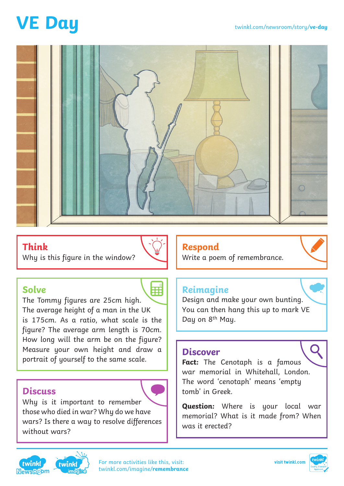# **VE Day**



## **Think**

Why is this figure in the window?



Em

### **Solve**

The Tommy figures are 25cm high. The average height of a man in the UK is 175cm. As a ratio, what scale is the figure? The average arm length is 70cm. How long will the arm be on the figure? Measure your own height and draw a portrait of yourself to the same scale.

### **Discuss**

Why is it important to remember those who died in war? Why do we have wars? Is there a way to resolve differences without wars?

## **Respond**

Write a poem of remembrance.

## **Reimagine**

Design and make your own bunting. You can then hang this up to mark VE Day on 8<sup>th</sup> May.

#### **Discover**

**Fact:** The Cenotaph is a famous war memorial in Whitehall, London. The word 'cenotaph' means 'empty tomb' in Greek.

**Question:** Where is your local war memorial? What is it made from? When was it erected?





[For more activities like this, visit:](https://www.twinkl.co.uk/imagine/remembrance-day/key-stage-2) twinkl.com/imagine/**remembrance**